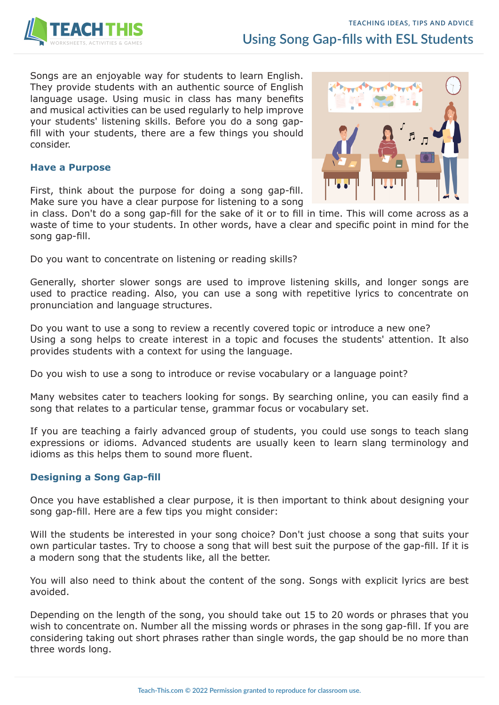

Songs are an enjoyable way for students to learn English. They provide students with an authentic source of English language usage. Using music in class has many benefits and musical activities can be used regularly to help improve your students' listening skills. Before you do a song gapfill with your students, there are a few things you should consider.

### **Have a Purpose**

First, think about the purpose for doing a song gap-fill. Make sure you have a clear purpose for listening to a song

in class. Don't do a song gap-fill for the sake of it or to fill in time. This will come across as a waste of time to your students. In other words, have a clear and specific point in mind for the song gap-fill.

Do you want to concentrate on listening or reading skills?

Generally, shorter slower songs are used to improve listening skills, and longer songs are used to practice reading. Also, you can use a song with repetitive lyrics to concentrate on pronunciation and language structures.

Do you want to use a song to review a recently covered topic or introduce a new one? Using a song helps to create interest in a topic and focuses the students' attention. It also provides students with a context for using the language.

Do you wish to use a song to introduce or revise vocabulary or a language point?

Many websites cater to teachers looking for songs. By searching online, you can easily find a song that relates to a particular tense, grammar focus or vocabulary set.

If you are teaching a fairly advanced group of students, you could use songs to teach slang expressions or idioms. Advanced students are usually keen to learn slang terminology and idioms as this helps them to sound more fluent.

#### **Designing a Song Gap-fill**

Once you have established a clear purpose, it is then important to think about designing your song gap-fill. Here are a few tips you might consider:

Will the students be interested in your song choice? Don't just choose a song that suits your own particular tastes. Try to choose a song that will best suit the purpose of the gap-fill. If it is a modern song that the students like, all the better.

You will also need to think about the content of the song. Songs with explicit lyrics are best avoided.

Depending on the length of the song, you should take out 15 to 20 words or phrases that you wish to concentrate on. Number all the missing words or phrases in the song gap-fill. If you are considering taking out short phrases rather than single words, the gap should be no more than three words long.

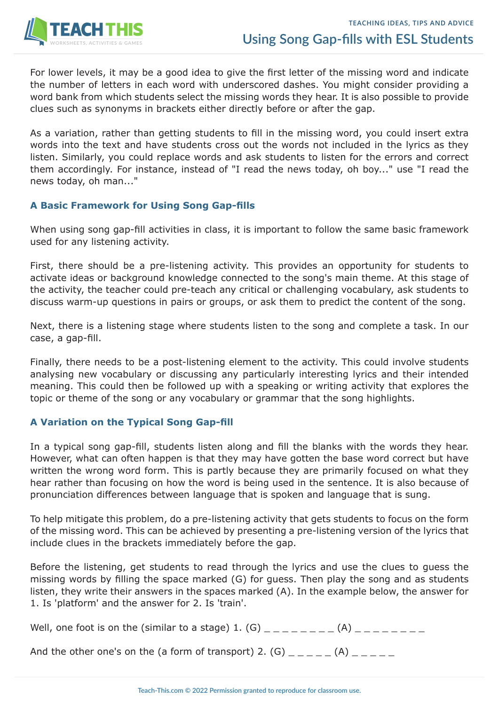

For lower levels, it may be a good idea to give the first letter of the missing word and indicate the number of letters in each word with underscored dashes. You might consider providing a word bank from which students select the missing words they hear. It is also possible to provide clues such as synonyms in brackets either directly before or after the gap.

As a variation, rather than getting students to fill in the missing word, you could insert extra words into the text and have students cross out the words not included in the lyrics as they listen. Similarly, you could replace words and ask students to listen for the errors and correct them accordingly. For instance, instead of "I read the news today, oh boy..." use "I read the news today, oh man..."

### **A Basic Framework for Using Song Gap-fills**

When using song gap-fill activities in class, it is important to follow the same basic framework used for any listening activity.

First, there should be a pre-listening activity. This provides an opportunity for students to activate ideas or background knowledge connected to the song's main theme. At this stage of the activity, the teacher could pre-teach any critical or challenging vocabulary, ask students to discuss warm-up questions in pairs or groups, or ask them to predict the content of the song.

Next, there is a listening stage where students listen to the song and complete a task. In our case, a gap-fill.

Finally, there needs to be a post-listening element to the activity. This could involve students analysing new vocabulary or discussing any particularly interesting lyrics and their intended meaning. This could then be followed up with a speaking or writing activity that explores the topic or theme of the song or any vocabulary or grammar that the song highlights.

# **A Variation on the Typical Song Gap-fill**

In a typical song gap-fill, students listen along and fill the blanks with the words they hear. However, what can often happen is that they may have gotten the base word correct but have written the wrong word form. This is partly because they are primarily focused on what they hear rather than focusing on how the word is being used in the sentence. It is also because of pronunciation differences between language that is spoken and language that is sung.

To help mitigate this problem, do a pre-listening activity that gets students to focus on the form of the missing word. This can be achieved by presenting a pre-listening version of the lyrics that include clues in the brackets immediately before the gap.

Before the listening, get students to read through the lyrics and use the clues to guess the missing words by filling the space marked (G) for guess. Then play the song and as students listen, they write their answers in the spaces marked (A). In the example below, the answer for 1. Is 'platform' and the answer for 2. Is 'train'.

|--|--|

And the other one's on the (a form of transport) 2. (G) \_ \_ \_ \_ \_ (A) \_ \_ \_ \_ \_